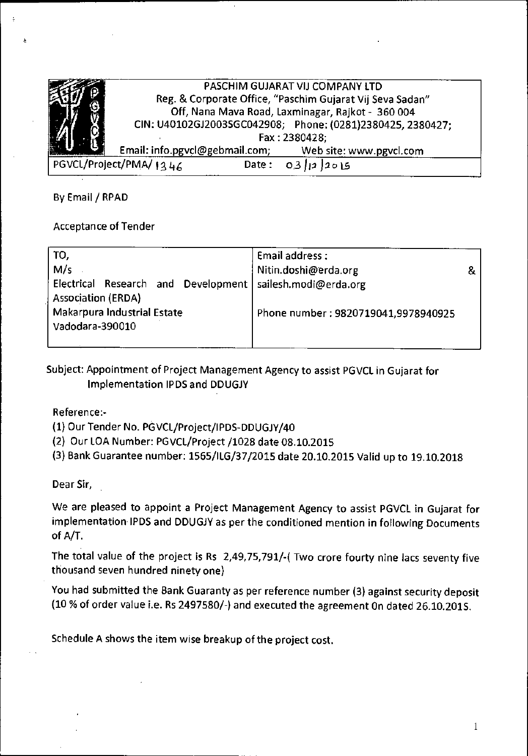|                                                 | PASCHIM GUJARAT VIJ COMPANY LTD                           |                                                            |  |  |
|-------------------------------------------------|-----------------------------------------------------------|------------------------------------------------------------|--|--|
|                                                 | Reg. & Corporate Office, "Paschim Gujarat Vij Seva Sadan" |                                                            |  |  |
|                                                 | Off, Nana Mava Road, Laxminagar, Rajkot - 360 004         |                                                            |  |  |
|                                                 |                                                           | CIN: U40102GJ2003SGC042908; Phone: (0281)2380425, 2380427; |  |  |
|                                                 | Fax: 2380428;                                             |                                                            |  |  |
|                                                 | Email: info.pgvcl@gebmail.com;                            | Web site: www.pgvcl.com                                    |  |  |
| PGVCL/Project/PMA/1246<br>Date:<br>- 03<br>2015 |                                                           |                                                            |  |  |

By Email / RPAD

## Acceptance of Tender

| TO,                                                              | Email address:                      |  |
|------------------------------------------------------------------|-------------------------------------|--|
| M/s                                                              | Nitin.doshi@erda.org                |  |
| Electrical Research and Development<br><b>Association (ERDA)</b> | sailesh.modi@erda.org               |  |
| <b>Makarpura Industrial Estate</b><br>Vadodara-390010            | Phone number: 9820719041,9978940925 |  |

Subject: Appointment of Project Management Agency to assist PGVCL in Gujarat for Implementation IPDS and DDUGJY

Reference:-

- (1) Our Tender No. PGVCL/Project/IPDS-DDUGJY/40
- (2) Our LOA Number: PGVCL/project /1028 date 08.10.2015
- (3) Bank Guarantee number: 1565/ILG/37/2015 date 20.10.2015 Valid up to 19.10.2018

Dear Sir,

We are pleased to appoint a Project Management Agency to assist PGVCL in Gujarat for implementation IPDS and DDUGJY as per the conditioned mention in following Documents of A/T.

The total value of the project is Rs 2,49,75,791/-( Two crore fourty nine lacs seventy five thousand seven hundred ninety one)

You had submitted the Bank Guaranty as per reference number (3) against security deposit (10% of order value i.e. Rs 2497580/-) and executed the agreement On dated 26.10.2015.

Schedule A shows the item wise breakup of the project cost.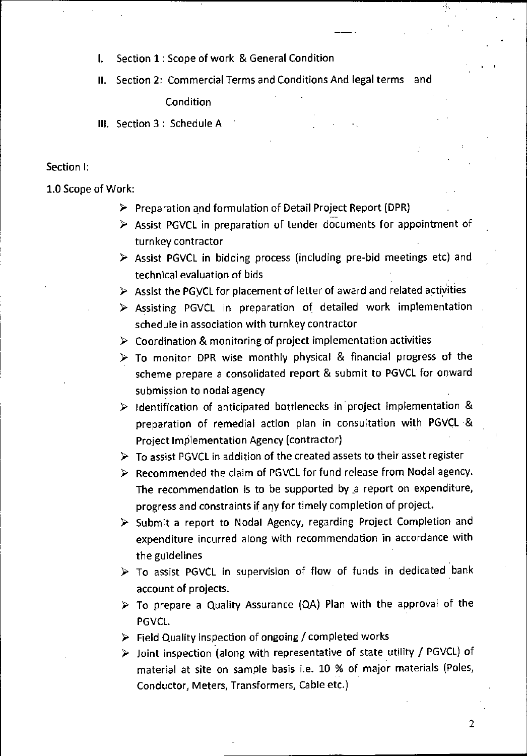- I. Section 1: Scope of work & General Condition
- II. Section 2: Commercial Terms and Conditions And legal terms and

Condition

Ill. Section 3 : Schedule A

#### Section I:

1.0 Scope of Work:

- $\triangleright$  Preparation and formulation of Detail Project Report (DPR)
- $\triangleright$  Assist PGVCL in preparation of tender documents for appointment of turnkey contractor
- $\triangleright$  Assist PGVCL in bidding process (including pre-bid meetings etc) and technical evaluation of bids
- $\triangleright$  Assist the PGVCL for placement of letter of award and related activities
- D Assisting PGVCL in preparation of detailed work implementation schedule in association with turnkey contractor
- $\triangleright$  Coordination & monitoring of project implementation activities
- $\triangleright$  To monitor DPR wise monthly physical & financial progress of the scheme prepare a consolidated report & submit to PGVCL for onward submission to nodal agency
- $\triangleright$  Identification of anticipated bottlenecks in project implementation & preparation of remedial action plan in consultation with PGVCL & Project Implementation Agency (contractor)
- $\triangleright$  To assist PGVCL in addition of the created assets to their asset register
- $\triangleright$  Recommended the claim of PGVCL for fund release from Nodal agency. The recommendation is to be supported by \_a report on expenditure, progress and constraints if any for timely completion of project.
- $\triangleright$  Submit a report to Nodal Agency, regarding Project Completion and expenditure incurred along with recommendation in accordance with the guidelines
- $\triangleright$  To assist PGVCL in supervision of flow of funds in dedicated bank account of projects.
- $\triangleright$  To prepare a Quality Assurance (QA) Plan with the approval of the PGVCL.
- $\triangleright$  Field Quality inspection of ongoing / completed works
- D Joint inspection (along with representative of state utility / PGVCL) of material at site on sample basis i.e. 10 % of major materials (Poles, Conductor, Meters, Transformers, Cable etc.)

2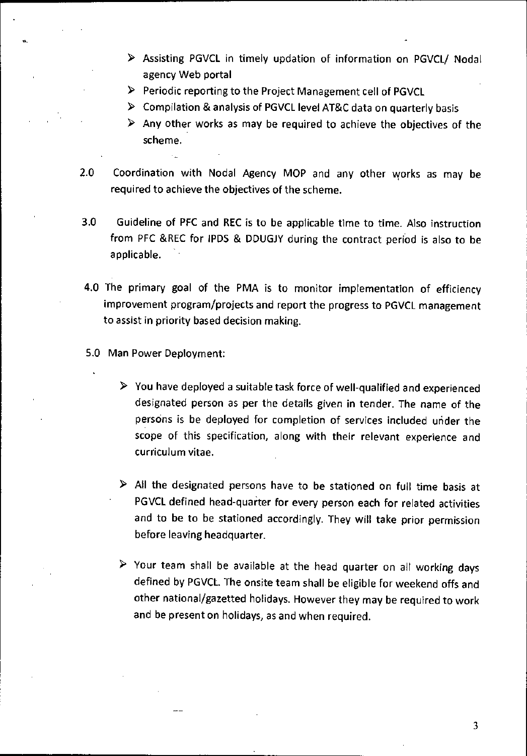- > Assisting PGVCL in timely updation of information on PGVCL/ Nodal agency Web portal
- > Periodic reporting to the Project Management cell of PGVCL
- > Compilation & analysis of PGVCL level AT&C data on quarterly basis
- $\triangleright$  Any other works as may be required to achieve the objectives of the scheme.
- 2.0 Coordination with Nodal Agency MOP and any other works as may be required to achieve the objectives of the scheme.
- 3.0 Guideline of PFC and REC is to be applicable time to time. Also instruction from PFC &REC for IPDS & DDUGJY during the contract period is also to be applicable.
- 4.0 The primary goal of the PMA is to monitor implementation of efficiency improvement program/projects and report the progress to PGVCL management to assist in priority based decision making.
- 5.0 Man Power Deployment:
	- $\triangleright$  You have deployed a suitable task force of well-qualified and experienced designated person as per the details given in tender. The name of the persons is be deployed for completion of services included under the scope of this specification, along with their relevant experience and curriculum vitae.
	- $\triangleright$  All the designated persons have to be stationed on full time basis at PGVCL defined head-quarter for every person each for related activities and to be to be stationed accordingly. They will take prior permission before leaving headquarter.
	- $\triangleright$  Your team shall be available at the head quarter on all working days defined by PGVCL. The onsite team shall be eligible for weekend offs and other national/gazetted holidays. However they may be required to work and be present on holidays, as and when required.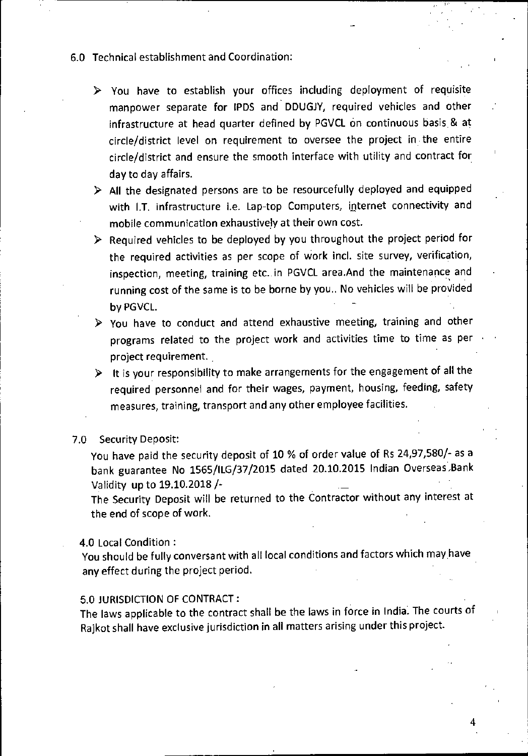- 6.0 Technical establishment and Coordination:
	- $\triangleright$  You have to establish your offices including deployment of requisite manpower separate for IPDS and DDUGJY, required vehicles and other infrastructure at head quarter defined by PGVCL on continuous basis & at circle/district level on requirement to oversee the project in the entire circle/district and ensure the smooth interface with utility and contract for day to day affairs.
	- D All the designated persons are to be resourcefully deployed and equipped with I.T. infrastructure i.e. Lap-top Computers, internet connectivity and mobile communication exhaustively at their own cost.
	- $\triangleright$  Required vehicles to be deployed by you throughout the project period for the required activities as per scope of work incl. site survey, verification, inspection, meeting, training etc. in PGVCL area.And the maintenance and running cost of the same is to be borne by you.. No vehicles will be provided by PGVCL.
	- $\triangleright$  You have to conduct and attend exhaustive meeting, training and other programs related to the project work and activities time to time as per project requirement.
	- $\triangleright$  It is your responsibility to make arrangements for the engagement of all the required personnel and for their wages, payment, housing, feeding, safety measures, training, transport and any other employee facilities.

#### 7.0 Security Deposit:

You have paid the security deposit of 10 % of order value of Rs 24,97,580/- as a bank guarantee No 1565/ILG/37/2015 dated 20.10.2015 Indian Overseas ,Bank Validity up to 19.10.2018/-

The Security Deposit will be returned to the Contractor without any interest at the end of scope of work.

4.0 Local Condition :

You should be fully conversant with all local conditions and factors which may have any effect during the project period.

#### 5.0 JURISDICTION OF CONTRACT:

The laws applicable to the contract shall be the laws in force in India. The courts of Rajkot shall have exclusive jurisdiction in all matters arising under this project.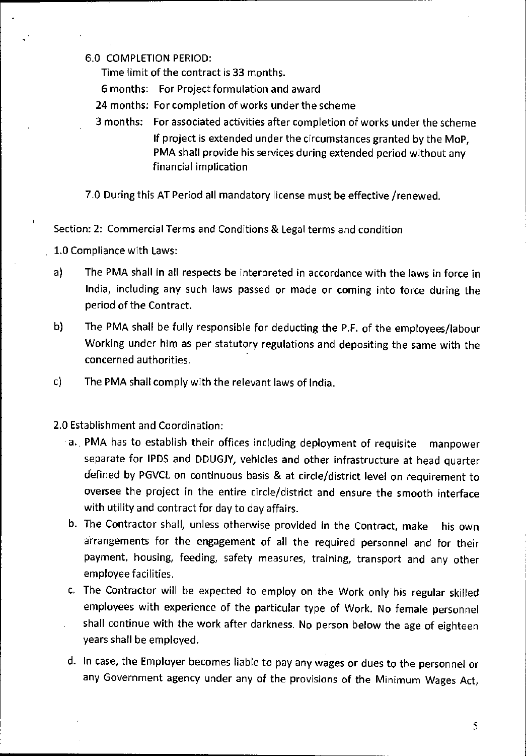### 6.0 COMPLETION PERIOD:

Time limit of the contract is 33 months.

6 months: For Project formulation and award

24 months: for completion of works under the scheme

3 months: For associated activities after completion of works under the scheme If project is extended under the circumstances granted by the MoP, PMA shall provide his services during extended period without any financial implication

7.0 During this AT Period all mandatory license must be effective /renewed.

Section: 2: Commercial Terms and Conditions & Legal terms and condition

1.0 Compliance with Laws:

- a) The PMA shall in all respects be interpreted in accordance with the laws in force in India, including any such laws passed or made or coming into force during the period of the Contract.
- b) The PMA shall be fully responsible for deducting the P.P. of the employees/labour Working under him as per statutory regulations and depositing the same with the concerned authorities.
- c) The PMA shall comply with the relevant laws of India.

2.0 Establishment and Coordination:

- a. PMA has to establish their offices including deployment of requisite manpower separate for IPDS and DDUGJY, vehicles and other infrastructure at head quarter defined by PGVCL on continuous basis & at circle/district level on requirement to oversee the project in the entire circle/district and ensure the smooth interface with utility and contract for day to day affairs.
- b. The Contractor shall, unless otherwise provided in the Contract, make his own arrangements for the engagement of all the required personnel and for their payment, housing, feeding, safety measures, training, transport and any other employee facilities.
- c. The Contractor will be expected to employ on the Work only his regular skilled employees with experience of the particular type of Work. No female personnel shall continue with the work after darkness. No person below the age of eighteen years shall be employed.
- d. In case, the Employer becomes liable to pay any wages or dues to the personnel or any Government agency under any of the provisions of the Minimum Wages Act,

5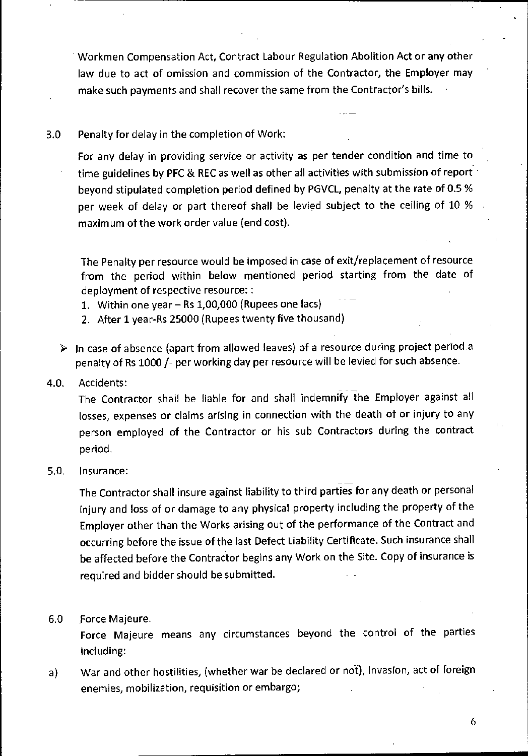• Workmen Compensation Act, Contract Labour Regulation Abolition Act or any other law due to act of omission and commission of the Contractor, the Employer may make such payments and shall recover the same from the Contractor's bills.

## 3.0 Penalty for delay in the completion of Work:

For any delay in providing service or activity as per tender condition and time to time guidelines by PFC & REC as well as other all activities with submission of report beyond stipulated completion period defined by PGVCL, penalty at the rate of 0.5% per week of delay or part thereof shall be levied subject to the ceiling of 10 % maximum of the work order value (end cost).

The Penalty per resource would be imposed in case of exit/replacement of resource from the period within below mentioned period starting from the date of deployment of respective resource: :

- 1. Within one year Rs 1,00,000 (Rupees one lacs)
- 2. After 1 year-Rs 25000 (Rupees twenty five thousand)
- $\triangleright$  In case of absence (apart from allowed leaves) of a resource during project period a penalty of Rs 1000 /- per working day per resource will be levied for such absence.

## 4.0. Accidents:

The Contractor shall be liable for and shall indemnify the Employer against all losses, expenses or claims arising in connection with the death of or injury to any person employed of the Contractor or his sub Contractors during the contract period.

#### 5.0. Insurance:

The Contractor shall insure against liability to third parties for any death or personal injury and loss of or damage to any physical property including the property of the Employer other than the Works arising out of the performance of the Contract and occurring before the issue of the last Defect Liability Certificate. Such insurance shall be affected before the Contractor begins any Work on the Site. Copy of insurance is required and bidder should be submitted.

#### 6.0 Force Majeure.

Force Majeure means any circumstances beyond the control of the parties including:

a) War and other hostilities, (whether war be declared or not), invasion, act of foreign enemies, mobilization, requisition or embargo;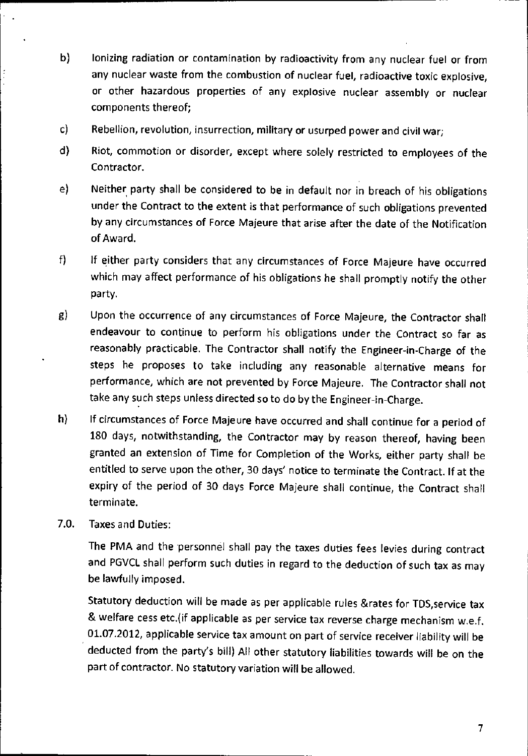- b) Ionizing radiation or contamination by radioactivity from any nuclear fuel or from any nuclear waste from the combustion of nuclear fuel, radioactive toxic explosive, or other hazardous properties of any explosive nuclear assembly or nuclear components thereof;
- c) Rebellion, revolution, insurrection, military or usurped power and civil war;
- d) Riot, commotion or disorder, except where solely restricted to employees of the Contractor.
- e) Neither party shall be considered to be in default nor in breach of his obligations under the Contract to the extent is that performance of such obligations prevented by any circumstances of Force Majeure that arise after the date of the Notification of Award.
- f) If either party considers that any circumstances of Force Majeure have occurred which may affect performance of his obligations he shall promptly notify the other party.
- g) Upon the occurrence of any circumstances of Force Majeure, the Contractor shall endeavour to continue to perform his obligations under the Contract so far as reasonably practicable. The Contractor shall notify the Engineer-in-Charge of the steps he proposes to take including any reasonable alternative means for performance, which are not prevented by Force Majeure. The Contractor shall not take any such steps unless directed so to do by the Engineer-in-Charge.
- h) If circumstances of Force Majeure have occurred and shall continue for a period of 180 days, notwithstanding, the Contractor may by reason thereof, having been granted an extension of Time for Completion of the Works, either party shall be entitled to serve upon the other, 30 days' notice to terminate the Contract. If at the expiry of the period of 30 days Force Majeure shall continue, the Contract shall terminate.
- 7.0. Taxes and Duties:

The PMA and the personnel shall pay the taxes duties fees levies during contract and PGVCL shall perform such duties in regard to the deduction of such tax as may be lawfully imposed.

Statutory deduction will be made as per applicable rules &rates for TDS,service tax & welfare cess etc.(if applicable as per service tax reverse charge mechanism w.e.f. 01.07.2012, applicable service tax amount on part of service receiver liability will be deducted from the party's bill) All other statutory liabilities towards will be on the part of contractor. No statutory variation will be allowed.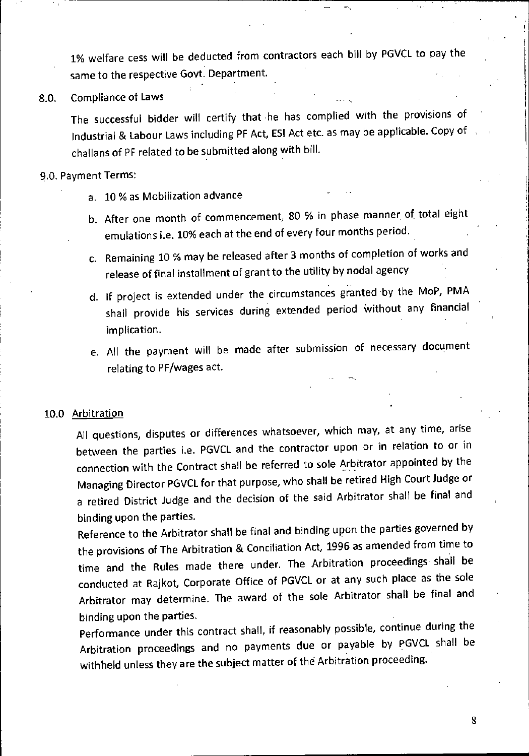1% welfare cess will be deducted from contractors each bill by PGVCL to pay the same to the respective Govt. Department.

8.0. Compliance of Laws

The successful bidder will certify that he has complied with the provisions of Industrial & Labour Laws including PF Act, ESI Act etc. as may be applicable. Copy of challans of PF related to be submitted along with bill.

#### 9.0. Payment Terms:

- a. 10% as Mobilization advance
- b. After one month of commencement, 80 % in phase manner, of total eight emulations i.e. 10% each at the end of every four months period.
- c. Remaining 10% may be released after 3 months of completion of works and release of final installment of grant to the utility by nodal agency

 $\mathbf{r} = \mathbf{r}$ 

- d. If project is extended under the circumstances granted :by the MoP, PMA shall provide his services during extended period Without any financial implication.
- e. All the payment will be made after submission of necessary document relating to PF/wages act.

#### 10.0 Arbitration

All questions, disputes or differences whatsoever, which may, at any time, arise between the parties i.e. PGVCL and the contractor upon or in relation to or in connection with the Contract shall be referred to sole Arbitrator appointed by the Managing Director PGVCL for that purpose, who shall be retired High Court Judge or a retired District Judge and the decision of the said Arbitrator shall be final and binding upon the parties.

Reference to the Arbitrator shall be final and binding upon the parties governed by the provisions of The Arbitration & Conciliation Act, 1996 as amended from time to time and the Rules made there under. The Arbitration proceedings shall be conducted at Rajkot, Corporate Office of PGVCL or at any such place as the sole Arbitrator may determine. The award of the sole Arbitrator shall be final and binding upon the parties.

Performance under this contract shall, if reasonably possible, continue during the Arbitration proceedings and no payments due or payable by PGVCL shall be withheld unless they are the subject matter of the Arbitration proceeding.

8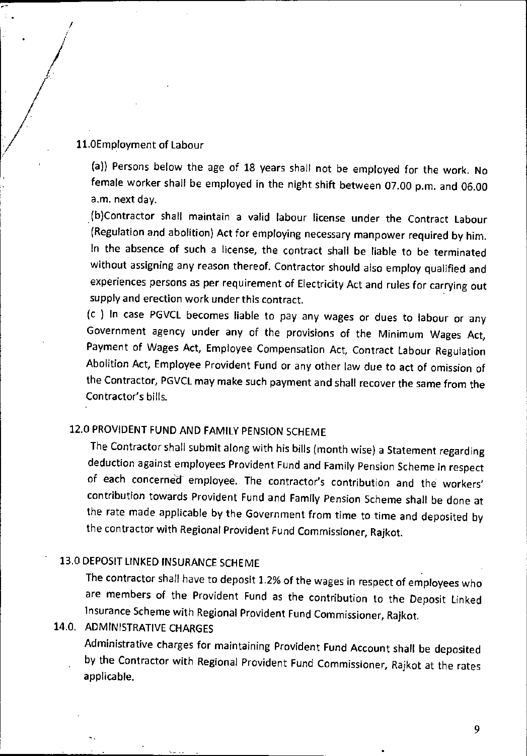## 11.0Employment of Labour

(a)) Persons below the age of 18 years shall not be employed for the work. No female worker shall be employed in the night shift between 07.00 p.m. and 06.00 a.m. next day.

(b)Contractor shall maintain a valid labour license under the Contract Labour (Regulation and abolition) Act for employing necessary manpower required by him. In the absence of such a license, the contract shall be liable to be terminated without assigning any reason thereof. Contractor should also employ qualified and experiences persons as per requirement of Electricity Act and rules for carrying out supply and erection work under this contract.

(c ) In case PGVCL becomes liable to pay any wages or dues to labour or any Government agency under any of the provisions of the Minimum Wages Act, Payment of Wages Act, Employee Compensation Act, Contract Labour Regulation Abolition Act, Employee Provident Fund or any other law due to act of omission of the Contractor, PGVCL may make such payment and shall recover the same from the Contractor's bills.

# 12.0 PROVIDENT FUND AND FAMILY PENSION SCHEME

The Contractor shall submit along with his bills (month wise) a Statement regarding deduction against employees Provident Fund and Family Pension Scheme in respect of each concerned employee. The contractor's contribution and the workers' contribution towards Provident Fund and Family Pension Scheme shall be done at the rate made applicable by the Government from time to time and deposited by the contractor with Regional Provident Fund Commissioner, Rajkot.

# 13.0 DEPOSIT LINKED INSURANCE SCHEME

The contractor shall have to deposit 1.2% of the wages in respect of employees who are members of the Provident Fund as the contribution to the Deposit Linked Insurance Scheme with Regional Provident Fund Commissioner, Rajkot.

# 14.0. ADMINISTRATIVE CHARGES

Administrative charges for maintaining Provident Fund Account shall be deposited by the Contractor with Regional Provident Fund Commissioner, Rajkot at the rates applicable.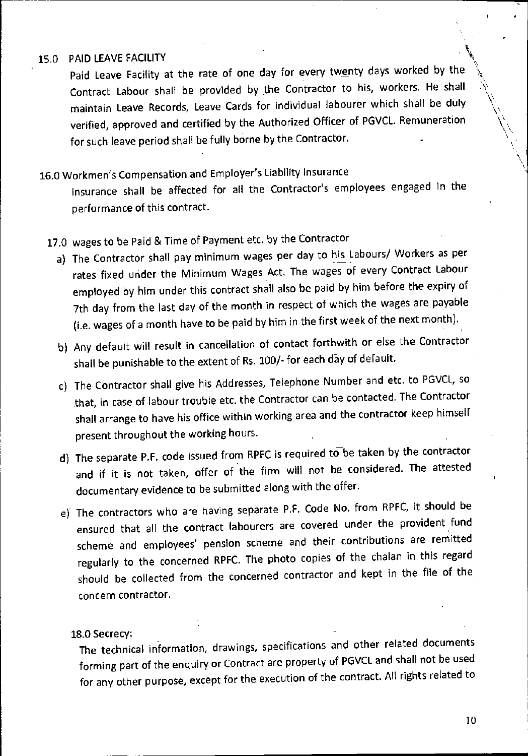## 15.0 PAID LEAVE FACILITY

Paid Leave Facility at the rate of one day for every twenty days worked by the Contract Labour shall be provided by the Contractor to his, workers. He shall \ maintain Leave Records, Leave Cards for individual labourer which shall be duly verified, approved and certified by the Authorized Officer of PGVCL. Remuneration \ for such leave period shall be fully borne by the Contractor.

# 16.0 Workmen's Compensation and Employer's Liability Insurance

Insurance shall be affected for all the Contractor's employees engaged in the performance of this contract.

- 17.0 wages to be Paid & Time of Payment etc. by the Contractor
	- a) The Contractor shall pay minimum wages per day to his Labours/ Workers as per rates fixed under the Minimum Wages Act. The wages of every Contract Labour employed by him under this contract shall also be paid by him before the expiry of 7th day from the last day of the month in respect of which the wages are payable (i.e. wages of a month have to be paid by him in the first week of the next month).
	- b) Any default will result in cancellation of contact forthwith or else the Contractor shall be punishable to the extent of Rs. 100/- for each day of default.
	- c) The Contractor shall give his Addresses, Telephone Number and etc. to PGVCL, so that, in case of labour trouble etc. the Contractor can be contacted. The Contractor shall arrange to have his office within working area and the contractor keep himself present throughout the working hours.
	- d) The separate P.F. code issued from RPFC is required to be taken by the contractor and if it is not taken, offer of the firm will not be considered. The attested documentary evidence to be submitted along with the offer.
	- e) The contractors who are having separate P.F. Code No. from RPFC, it should be ensured that all the contract labourers are covered under the provident fund scheme and employees' pension scheme and their contributions are remitted regularly to the concerned RPFC. The photo copies of the chalan in this regard should be collected from the concerned contractor and kept in the file of the concern contractor.

18.0 Secrecy:

The technical information, drawings, specifications and other related documents forming part of the enquiry or Contract are property of PGVCL and shall not be used for any other purpose, except for the execution of the contract. All rights related to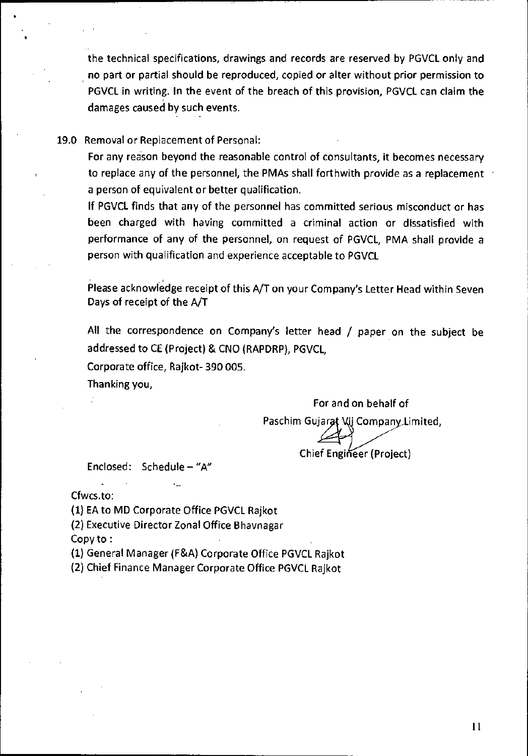the technical specifications, drawings and records are reserved by PGVCL only and no part or partial should be reproduced, copied or alter without prior permission to PGVCL in writing. In the event of the breach of this provision, PGVCL can claim the damages caused by such events.

#### 19.0 Removal or Replacement of Personal:

For any reason beyond the reasonable control of consultants, it becomes necessary to replace any of the personnel, the PMAs shall forthwith provide as a replacement a person of equivalent or better qualification.

If PGVCL finds that any of the personnel has committed serious misconduct or has been charged with having committed a criminal action or dissatisfied with performance of any of the personnel, on request of PGVCL, PMA shall provide a person with qualification and experience acceptable to PGVCL

Please acknowledge receipt of this A/T on your Company's Letter Head within Seven Days of receipt of the A/T

All the correspondence on Company's letter head / paper on the subject be addressed to CE (Project) & CNO (RAPDRP), PGVCL,

Corporate office, Rajkot- 390 005.

Thanking you,

For and on behalf of Paschim Gujarat Vij Company Limited, Chief Engineer (Project)

Enclosed: Schedule — "A"

Cfwcs.to:

(1) EA to MD Corporate Office PGVCL Rajkot

(2) Executive Director Zonal Office Bhavnagar

Copy to :

(1) General Manager (F&A) Corporate Office PGVCL Rajkot

(2) Chief Finance Manager Corporate Office PGVCL Rajkot